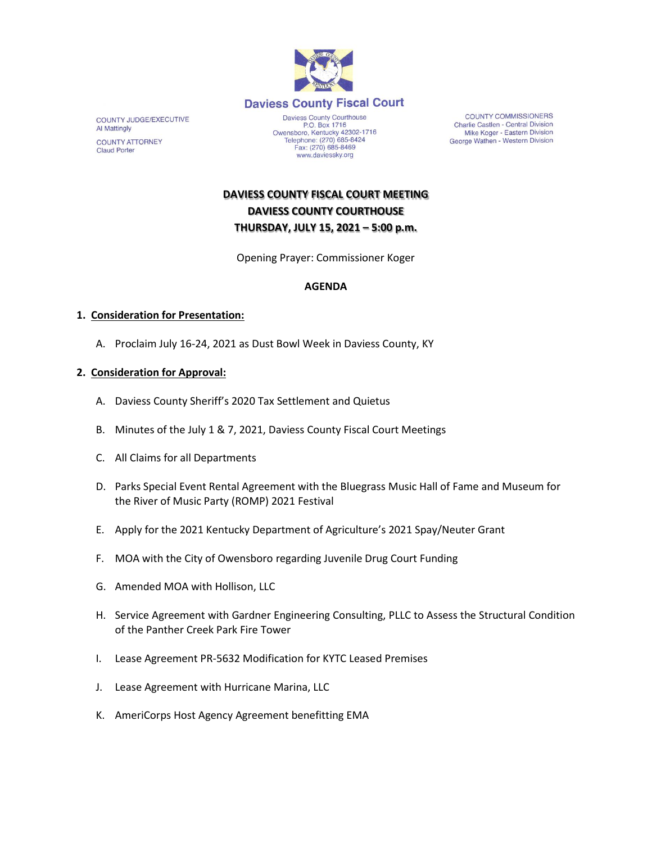

COUNTY JUDGE/EXECUTIVE Al Mattingly **COUNTY ATTORNEY Claud Porter** 

P.O. Box 1716<br>P.O. Box 1716<br>Owensboro, Kentucky 42302-1716<br>Telephone: (270) 685-8424 Fax: (270) 685-8469 www.daviessky.org

**COUNTY COMMISSIONERS** Charlie Castlen - Central Division Mike Koger - Eastern Division George Wathen - Western Division

**DAVIESS COUNTY FISCAL COURT MEETING DAVIESS COUNTY COURTHOUSE THURSDAY, JULY 15, 2021 – 5:00 p.m.** 

Opening Prayer: Commissioner Koger

# **AGENDA**

### **1. Consideration for Presentation:**

A. Proclaim July 16-24, 2021 as Dust Bowl Week in Daviess County, KY

## **2. Consideration for Approval:**

- A. Daviess County Sheriff's 2020 Tax Settlement and Quietus
- B. Minutes of the July 1 & 7, 2021, Daviess County Fiscal Court Meetings
- C. All Claims for all Departments
- D. Parks Special Event Rental Agreement with the Bluegrass Music Hall of Fame and Museum for the River of Music Party (ROMP) 2021 Festival
- E. Apply for the 2021 Kentucky Department of Agriculture's 2021 Spay/Neuter Grant
- F. MOA with the City of Owensboro regarding Juvenile Drug Court Funding
- G. Amended MOA with Hollison, LLC
- H. Service Agreement with Gardner Engineering Consulting, PLLC to Assess the Structural Condition of the Panther Creek Park Fire Tower
- I. Lease Agreement PR-5632 Modification for KYTC Leased Premises
- J. Lease Agreement with Hurricane Marina, LLC
- K. AmeriCorps Host Agency Agreement benefitting EMA